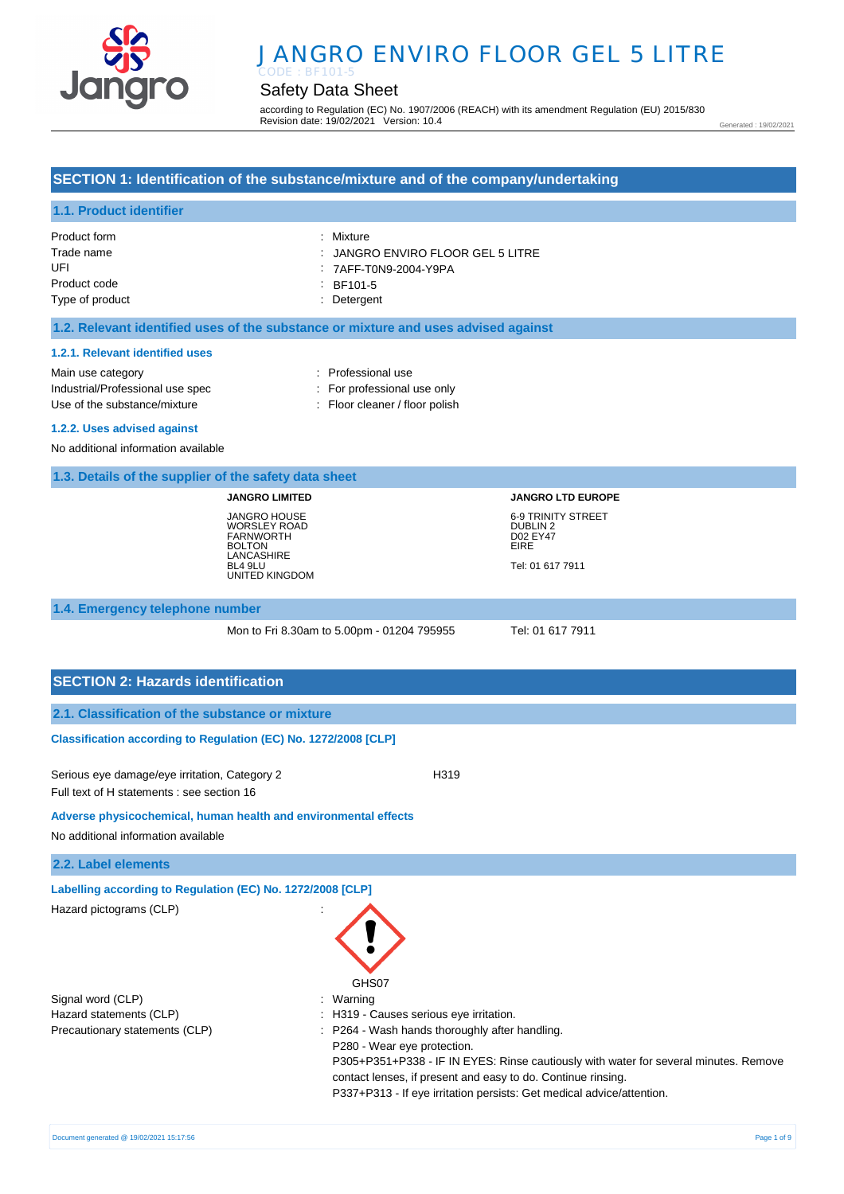

# JANGRO ENVIRO FLOOR GEL 5 LITRE

# Safety Data Sheet

according to Regulation (EC) No. 1907/2006 (REACH) with its amendment Regulation (EU) 2015/830 Revision date: 19/02/2021 Version: 10.4

Generated : 19/02/2021

### **SECTION 1: Identification of the substance/mixture and of the company/undertaking**

### **1.1. Product identifier**

| Product form    | : Mixture                                    |
|-----------------|----------------------------------------------|
| Trade name      | $\therefore$ JANGRO ENVIRO FLOOR GEL 5 LITRE |
| UFL             | : 7AFF-T0N9-2004-Y9PA                        |
| Product code    | $\therefore$ BF101-5                         |
| Type of product | : Detergent                                  |

#### **1.2. Relevant identified uses of the substance or mixture and uses advised against**

#### **1.2.1. Relevant identified uses**

Main use category **Example 20** and 20 and 20 and 20 and 20 and 20 and 20 and 20 and 20 and 20 and 20 and 20 and 20 and 20 and 20 and 20 and 20 and 20 and 20 and 20 and 20 and 20 and 20 and 20 and 20 and 20 and 20 and 20 an Industrial/Professional use spec : For professional use only Use of the substance/mixture : Floor cleaner / floor polish

#### **1.2.2. Uses advised against**

No additional information available

#### **1.3. Details of the supplier of the safety data sheet**

**JANGRO LIMITED** JANGRO HOUSE WORSLEY ROAD FARNWORTH BOLTON LANCASHIRE BL4 9LU UNITED KINGDOM **JANGRO LTD EUROPE** 6-9 TRINITY STREET DUBLIN 2 D02 EY47 EIRE Tel: 01 617 7911

#### **1.4. Emergency telephone number**

Mon to Fri 8.30am to 5.00pm - 01204 795955 Tel: 01 617 7911

#### **SECTION 2: Hazards identification**

#### **Classification according to Regulation (EC) No. 1272/2008 [CLP]**

Serious eye damage/eye irritation, Category 2 <br>
H319 Full text of H statements : see section 16

#### **Adverse physicochemical, human health and environmental effects**

No additional information available

#### **2.2. Label elements**

**Labelling according to Regulation (EC) No. 1272/2008 [CLP]** 

| Hazard pictograms (CLP)        | GHS07                                                                                                                                                                                                                                                                                                          |
|--------------------------------|----------------------------------------------------------------------------------------------------------------------------------------------------------------------------------------------------------------------------------------------------------------------------------------------------------------|
| Signal word (CLP)              | : Warning                                                                                                                                                                                                                                                                                                      |
| Hazard statements (CLP)        | : H319 - Causes serious eye irritation.                                                                                                                                                                                                                                                                        |
| Precautionary statements (CLP) | : P264 - Wash hands thoroughly after handling.<br>P280 - Wear eye protection.<br>P305+P351+P338 - IF IN EYES: Rinse cautiously with water for several minutes. Remove<br>contact lenses, if present and easy to do. Continue rinsing.<br>P337+P313 - If eye irritation persists: Get medical advice/attention. |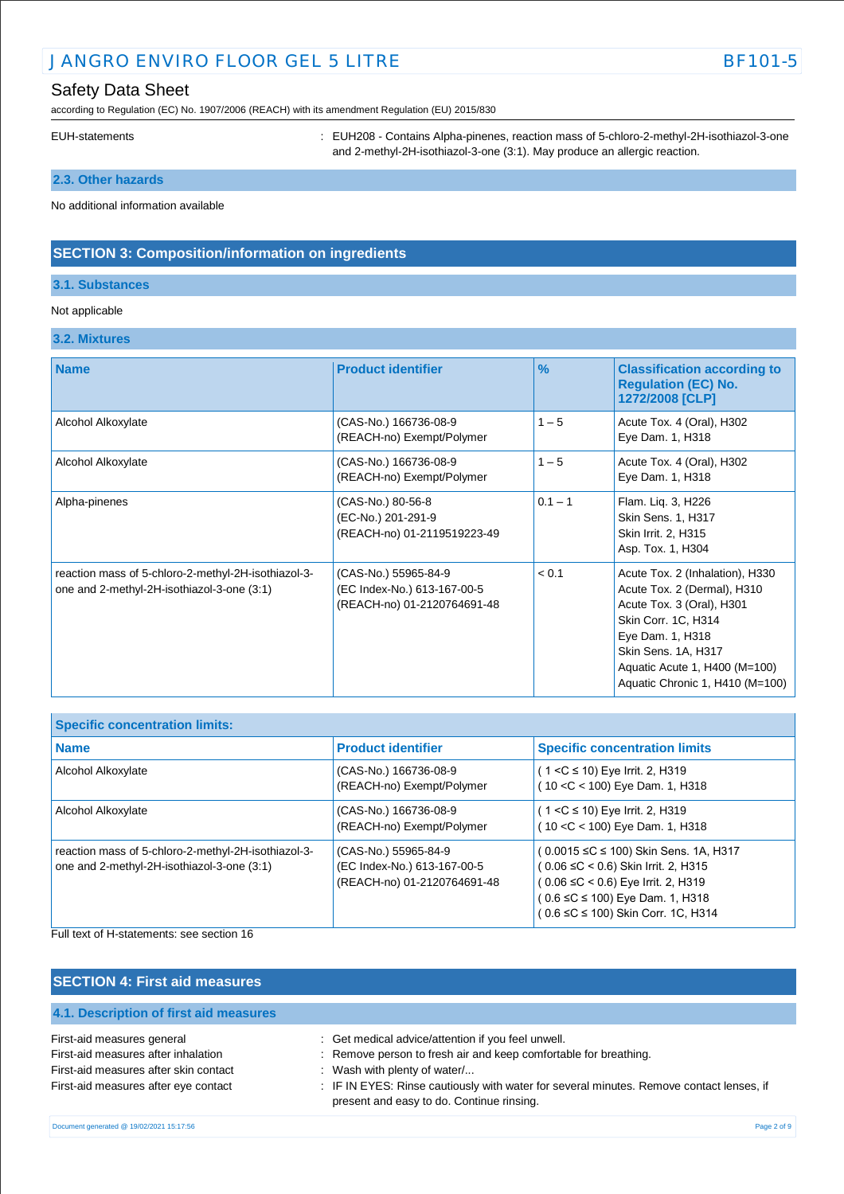# JANGRO ENVIRO FLOOR GEL 5 LITRE BET AND RESERVE AND RESERVE BET OF STATE BET OF STATE BET OF STATE BET OF STATE BET OF STATE BET OF STATE BET OF STATE BET OF STATE BET OF STATE BET OF STATE BET OF STATE BET OF STATE BET OF

according to Regulation (EC) No. 1907/2006 (REACH) with its amendment Regulation (EU) 2015/830

EUH-statements : EUH208 - Contains Alpha-pinenes, reaction mass of 5-chloro-2-methyl-2H-isothiazol-3-one and 2-methyl-2H-isothiazol-3-one (3:1). May produce an allergic reaction.

## **2.3. Other hazards**

No additional information available

### **SECTION 3: Composition/information on ingredients**

#### **3.1. Substances**

#### Not applicable

#### **3.2. Mixtures**

| <b>Name</b>                                                                                       | <b>Product identifier</b>                                                          | $\frac{9}{6}$ | <b>Classification according to</b><br><b>Regulation (EC) No.</b><br>1272/2008 [CLP]                                                                                                                                               |
|---------------------------------------------------------------------------------------------------|------------------------------------------------------------------------------------|---------------|-----------------------------------------------------------------------------------------------------------------------------------------------------------------------------------------------------------------------------------|
| Alcohol Alkoxylate                                                                                | (CAS-No.) 166736-08-9<br>(REACH-no) Exempt/Polymer                                 | $1 - 5$       | Acute Tox. 4 (Oral), H302<br>Eye Dam. 1, H318                                                                                                                                                                                     |
| Alcohol Alkoxylate                                                                                | (CAS-No.) 166736-08-9<br>(REACH-no) Exempt/Polymer                                 | $1 - 5$       | Acute Tox. 4 (Oral), H302<br>Eye Dam. 1, H318                                                                                                                                                                                     |
| Alpha-pinenes                                                                                     | (CAS-No.) 80-56-8<br>(EC-No.) 201-291-9<br>(REACH-no) 01-2119519223-49             | $0.1 - 1$     | Flam. Liq. 3, H226<br><b>Skin Sens. 1, H317</b><br>Skin Irrit. 2, H315<br>Asp. Tox. 1, H304                                                                                                                                       |
| reaction mass of 5-chloro-2-methyl-2H-isothiazol-3-<br>one and 2-methyl-2H-isothiazol-3-one (3:1) | (CAS-No.) 55965-84-9<br>(EC Index-No.) 613-167-00-5<br>(REACH-no) 01-2120764691-48 | < 0.1         | Acute Tox. 2 (Inhalation), H330<br>Acute Tox. 2 (Dermal), H310<br>Acute Tox. 3 (Oral), H301<br>Skin Corr. 1C, H314<br>Eye Dam. 1, H318<br>Skin Sens. 1A, H317<br>Aquatic Acute 1, H400 (M=100)<br>Aquatic Chronic 1, H410 (M=100) |

| <b>Specific concentration limits:</b>                                                             |                                                                                    |                                                                                                                                                                                              |
|---------------------------------------------------------------------------------------------------|------------------------------------------------------------------------------------|----------------------------------------------------------------------------------------------------------------------------------------------------------------------------------------------|
| <b>Name</b>                                                                                       | <b>Product identifier</b>                                                          | <b>Specific concentration limits</b>                                                                                                                                                         |
| Alcohol Alkoxylate                                                                                | (CAS-No.) 166736-08-9<br>(REACH-no) Exempt/Polymer                                 | $(1 < C \le 10)$ Eye Irrit. 2, H319<br>$(10 < C < 100)$ Eye Dam. 1, H318                                                                                                                     |
| Alcohol Alkoxylate                                                                                | (CAS-No.) 166736-08-9<br>(REACH-no) Exempt/Polymer                                 | ( 1 <c 10)="" 2,="" eye="" h319<br="" irrit.="" ≤="">10 &lt; C &lt; 100) Eye Dam. 1, H318</c>                                                                                                |
| reaction mass of 5-chloro-2-methyl-2H-isothiazol-3-<br>one and 2-methyl-2H-isothiazol-3-one (3:1) | (CAS-No.) 55965-84-9<br>(EC Index-No.) 613-167-00-5<br>(REACH-no) 01-2120764691-48 | ( 0.0015 ≤C ≤ 100) Skin Sens. 1A, H317<br>( 0.06 ≤C < 0.6) Skin Irrit. 2, H315<br>(0.06 ≤C < 0.6) Eye Irrit. 2, H319<br>(0.6 ≤C ≤ 100) Eye Dam. 1, H318<br>0.6 ≤C ≤ 100) Skin Corr. 1C, H314 |

Full text of H-statements: see section 16

# **SECTION 4: First aid measures**

| 4.1. Description of hist ald ineasures |                                                                                                                                       |
|----------------------------------------|---------------------------------------------------------------------------------------------------------------------------------------|
| First-aid measures general             | : Get medical advice/attention if you feel unwell.                                                                                    |
| First-aid measures after inhalation    | : Remove person to fresh air and keep comfortable for breathing.                                                                      |
| First-aid measures after skin contact  | $\therefore$ Wash with plenty of water/                                                                                               |
| First-aid measures after eye contact   | : IF IN EYES: Rinse cautiously with water for several minutes. Remove contact lenses, if<br>present and easy to do. Continue rinsing. |
|                                        |                                                                                                                                       |

**4.1. Description of first aid measures**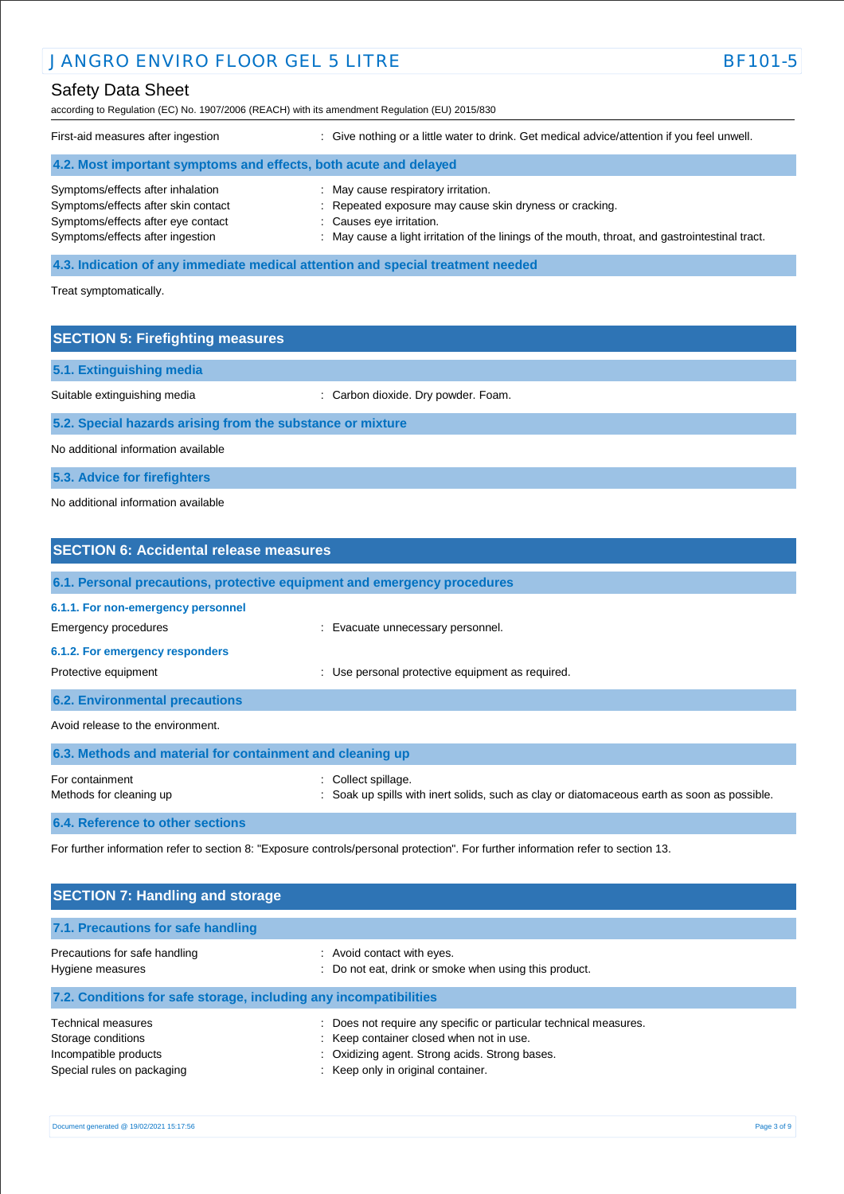# **JANGRO ENVIRO FLOOR GEL 5 LITRE BET ALL SEE ALL SEE ALL SEE ALL SEE ALL SEE ALL SEE ALL SEE ALL SEE ALL SEE A**

# Safety Data Sheet

according to Regulation (EC) No. 1907/2006 (REACH) with its amendment Regulation (EU) 2015/830

| First-aid measures after ingestion                               | : Give nothing or a little water to drink. Get medical advice/attention if you feel unwell.     |
|------------------------------------------------------------------|-------------------------------------------------------------------------------------------------|
| 4.2. Most important symptoms and effects, both acute and delayed |                                                                                                 |
| Symptoms/effects after inhalation                                | : May cause respiratory irritation.                                                             |
| Symptoms/effects after skin contact                              | : Repeated exposure may cause skin dryness or cracking.                                         |
| Symptoms/effects after eye contact                               | : Causes eye irritation.                                                                        |
| Symptoms/effects after ingestion                                 | : May cause a light irritation of the linings of the mouth, throat, and gastrointestinal tract. |

#### **4.3. Indication of any immediate medical attention and special treatment needed**

Treat symptomatically.

# **SECTION 5: Firefighting measures 5.1. Extinguishing media** Suitable extinguishing media : Carbon dioxide. Dry powder. Foam. **5.2. Special hazards arising from the substance or mixture** No additional information available

**5.3. Advice for firefighters**

### No additional information available

| <b>SECTION 6: Accidental release measures</b>                            |                                                                                                                  |
|--------------------------------------------------------------------------|------------------------------------------------------------------------------------------------------------------|
| 6.1. Personal precautions, protective equipment and emergency procedures |                                                                                                                  |
| 6.1.1. For non-emergency personnel<br>Emergency procedures               | Evacuate unnecessary personnel.                                                                                  |
| 6.1.2. For emergency responders<br>Protective equipment                  | : Use personal protective equipment as required.                                                                 |
| <b>6.2. Environmental precautions</b>                                    |                                                                                                                  |
| Avoid release to the environment.                                        |                                                                                                                  |
| 6.3. Methods and material for containment and cleaning up                |                                                                                                                  |
| For containment<br>Methods for cleaning up                               | : Collect spillage.<br>Soak up spills with inert solids, such as clay or diatomaceous earth as soon as possible. |

**6.4. Reference to other sections**

For further information refer to section 8: "Exposure controls/personal protection". For further information refer to section 13.

| <b>SECTION 7: Handling and storage</b>                                                                 |                                                                                                                                                                                                       |  |
|--------------------------------------------------------------------------------------------------------|-------------------------------------------------------------------------------------------------------------------------------------------------------------------------------------------------------|--|
| 7.1. Precautions for safe handling                                                                     |                                                                                                                                                                                                       |  |
| Precautions for safe handling<br>Hygiene measures                                                      | : Avoid contact with eyes.<br>: Do not eat, drink or smoke when using this product.                                                                                                                   |  |
| 7.2. Conditions for safe storage, including any incompatibilities                                      |                                                                                                                                                                                                       |  |
| <b>Technical measures</b><br>Storage conditions<br>Incompatible products<br>Special rules on packaging | : Does not require any specific or particular technical measures.<br>: Keep container closed when not in use.<br>: Oxidizing agent. Strong acids. Strong bases.<br>: Keep only in original container. |  |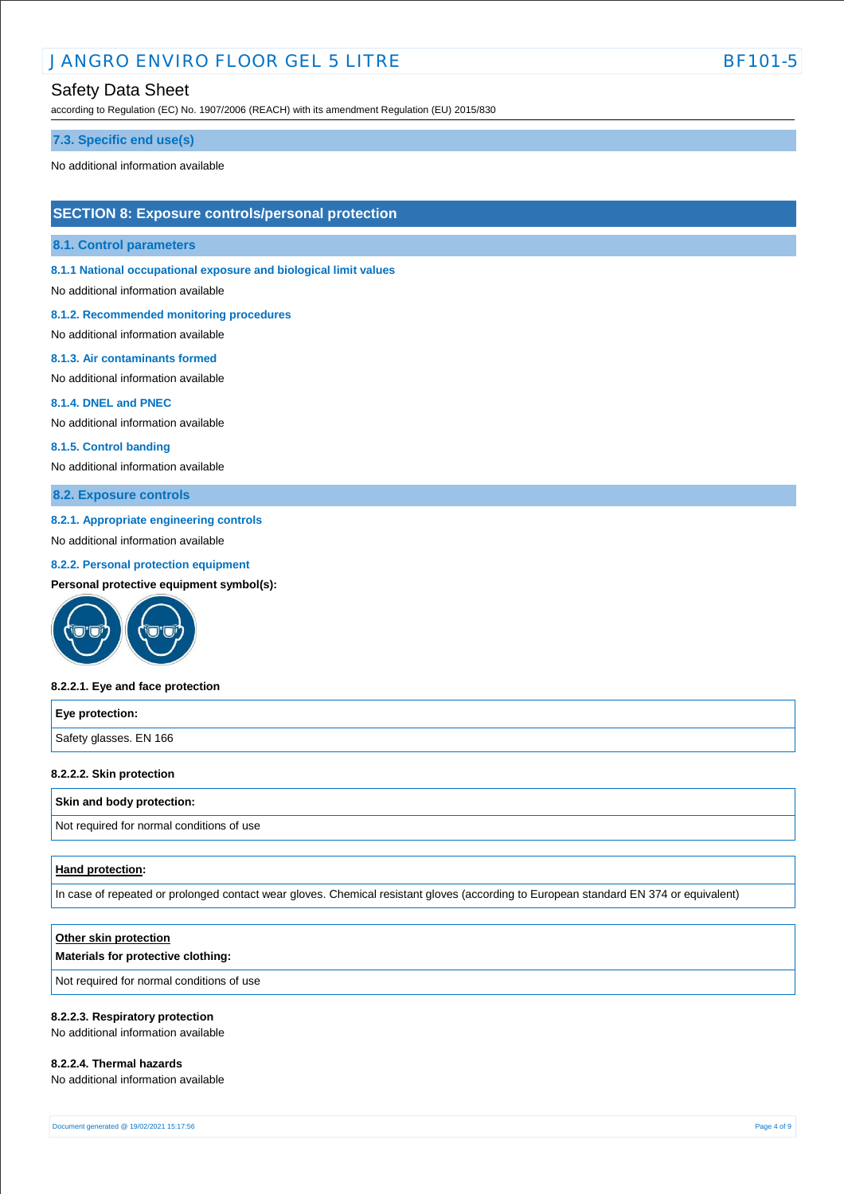# JANGRO ENVIRO FLOOR GEL 5 LITRE BELL BET BET DI

### Safety Data Sheet

according to Regulation (EC) No. 1907/2006 (REACH) with its amendment Regulation (EU) 2015/830

#### **7.3. Specific end use(s)**

No additional information available

### **SECTION 8: Exposure controls/personal protection**

#### **8.1. Control parameters**

**8.1.1 National occupational exposure and biological limit values** 

No additional information available

#### **8.1.2. Recommended monitoring procedures**

No additional information available

#### **8.1.3. Air contaminants formed**

No additional information available

#### **8.1.4. DNEL and PNEC**

No additional information available

#### **8.1.5. Control banding**

No additional information available

### **8.2. Exposure controls**

#### **8.2.1. Appropriate engineering controls**

No additional information available

#### **8.2.2. Personal protection equipment**

**Personal protective equipment symbol(s):**



#### **8.2.2.1. Eye and face protection**

| Eye protection:        |  |
|------------------------|--|
| Safety glasses. EN 166 |  |

#### **8.2.2.2. Skin protection**

#### **Skin and body protection:**

Not required for normal conditions of use

#### **Hand protection:**

In case of repeated or prolonged contact wear gloves. Chemical resistant gloves (according to European standard EN 374 or equivalent)

#### **Other skin protection**

#### **Materials for protective clothing:**

Not required for normal conditions of use

#### **8.2.2.3. Respiratory protection**

No additional information available

#### **8.2.2.4. Thermal hazards**

No additional information available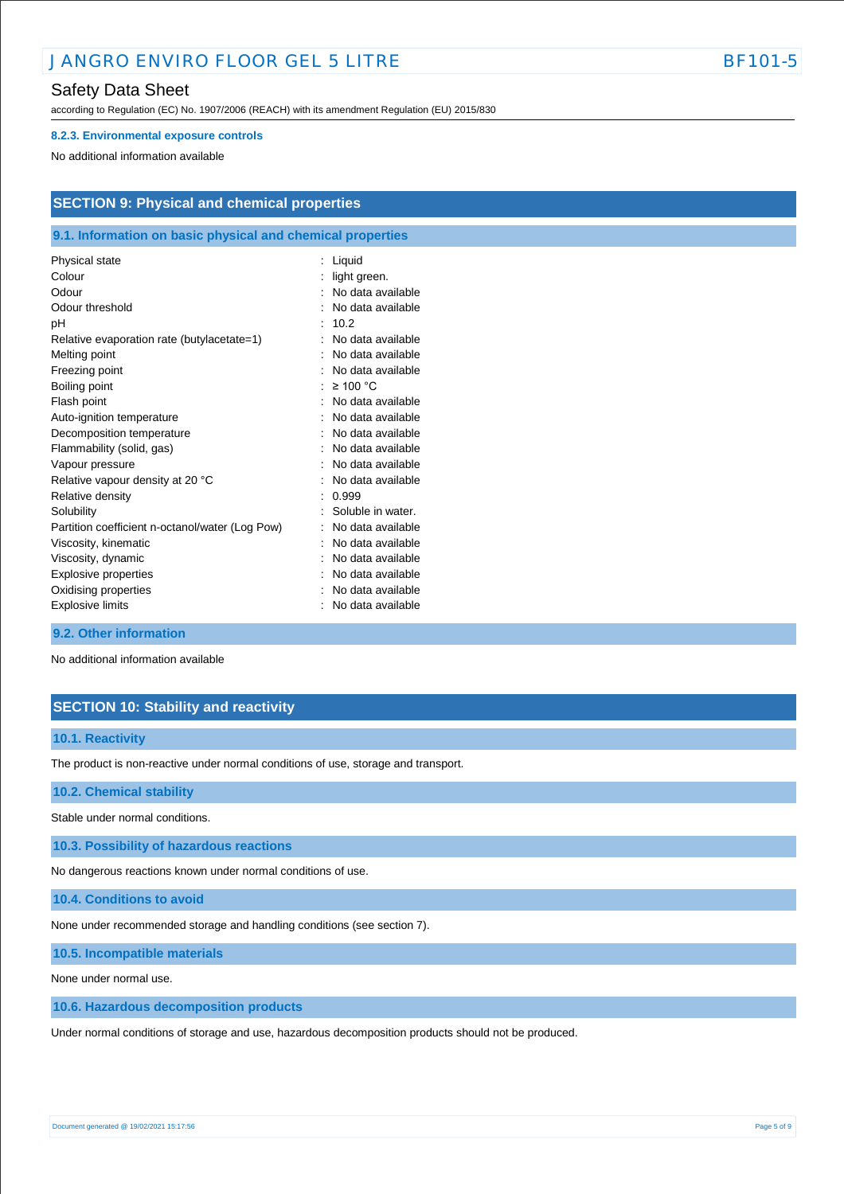# **JANGRO ENVIRO FLOOR GEL 5 LITRE BET ALL SEE ALL SEE ALL SEE ALL SEE ALL SEE ALL SEE ALL SEE ALL SEE ALL SEE A**

**SECTION 9: Physical and chemical properties**

## Safety Data Sheet

according to Regulation (EC) No. 1907/2006 (REACH) with its amendment Regulation (EU) 2015/830

#### **8.2.3. Environmental exposure controls**

No additional information available

**9.2. Other information**

No additional information available

# **SECTION 10: Stability and reactivity**

#### **10.1. Reactivity**

The product is non-reactive under normal conditions of use, storage and transport.

#### **10.2. Chemical stability**

Stable under normal conditions.

**10.3. Possibility of hazardous reactions**

No dangerous reactions known under normal conditions of use.

**10.4. Conditions to avoid**

None under recommended storage and handling conditions (see section 7).

**10.5. Incompatible materials**

None under normal use.

**10.6. Hazardous decomposition products**

Under normal conditions of storage and use, hazardous decomposition products should not be produced.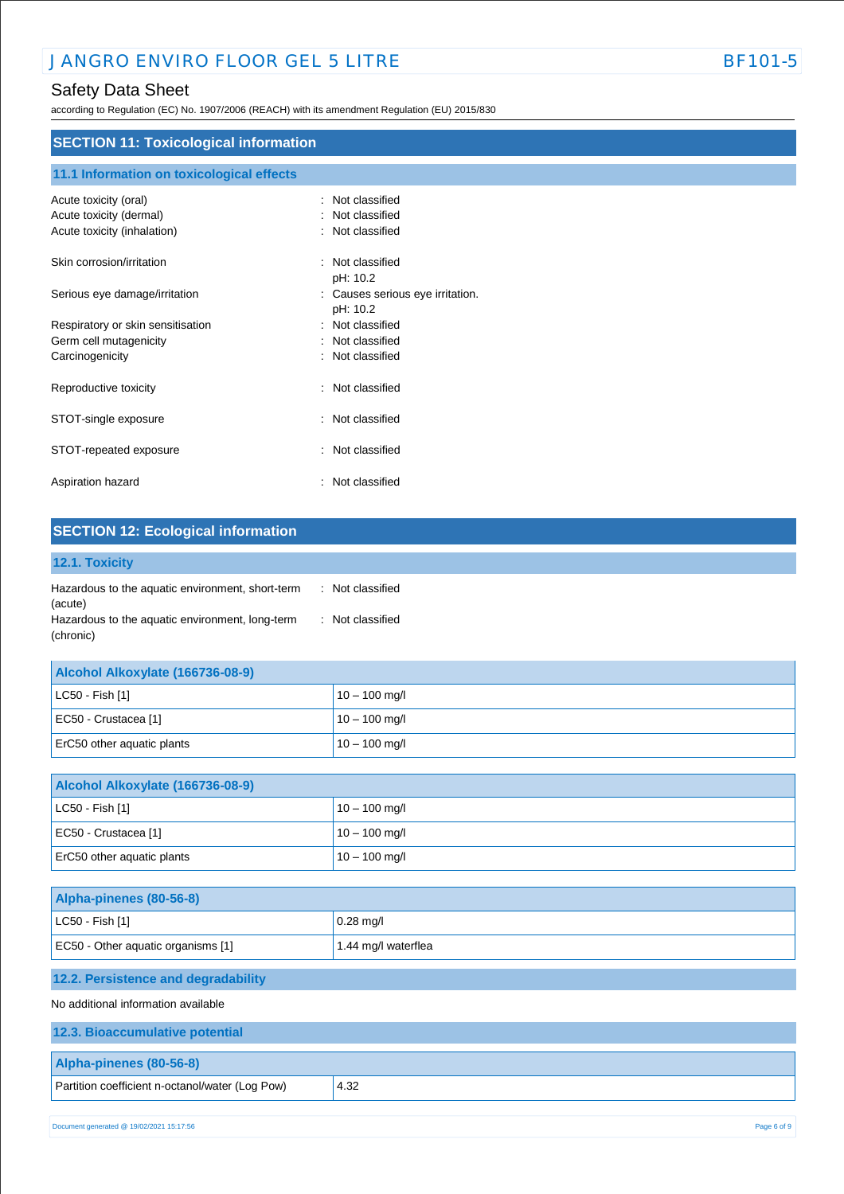according to Regulation (EC) No. 1907/2006 (REACH) with its amendment Regulation (EU) 2015/830

| <b>SECTION 11: Toxicological information</b> |                                |  |
|----------------------------------------------|--------------------------------|--|
| 11.1 Information on toxicological effects    |                                |  |
| Acute toxicity (oral)                        | Not classified<br>٠            |  |
| Acute toxicity (dermal)                      | Not classified<br>٠            |  |
| Acute toxicity (inhalation)                  | Not classified                 |  |
| Skin corrosion/irritation                    | : Not classified               |  |
|                                              | pH: 10.2                       |  |
| Serious eye damage/irritation                | Causes serious eye irritation. |  |
|                                              | pH: 10.2                       |  |
| Respiratory or skin sensitisation            | : Not classified               |  |
| Germ cell mutagenicity                       | Not classified<br>÷            |  |
| Carcinogenicity                              | Not classified<br>٠            |  |
| Reproductive toxicity                        | Not classified<br>÷            |  |
| STOT-single exposure                         | Not classified<br>÷            |  |
| STOT-repeated exposure                       | Not classified<br>÷            |  |
| Aspiration hazard                            | Not classified<br>t.           |  |

| 12.1. Toxicity |  |  |
|----------------|--|--|
|                |  |  |

| Hazardous to the aquatic environment, short-term | : Not classified |
|--------------------------------------------------|------------------|
| (acute)                                          |                  |
| Hazardous to the aquatic environment, long-term  | : Not classified |
| (chronic)                                        |                  |

| Alcohol Alkoxylate (166736-08-9) |                 |
|----------------------------------|-----------------|
| $ $ LC50 - Fish [1]              | $10 - 100$ mg/l |
| EC50 - Crustacea [1]             | $10 - 100$ mg/l |
| ErC50 other aquatic plants       | $10 - 100$ mg/l |

| Alcohol Alkoxylate (166736-08-9) |                 |
|----------------------------------|-----------------|
| $ $ LC50 - Fish [1]              | $10 - 100$ mg/l |
| EC50 - Crustacea [1]             | $10 - 100$ mg/l |
| ErC50 other aquatic plants       | $10 - 100$ mg/l |

| Alpha-pinenes (80-56-8)            |                     |
|------------------------------------|---------------------|
| $ $ LC50 - Fish [1]                | $0.28$ mg/l         |
| EC50 - Other aquatic organisms [1] | 1.44 mg/l waterflea |

# **12.2. Persistence and degradability**

No additional information available

| 12.3. Bioaccumulative potential                 |      |
|-------------------------------------------------|------|
| Alpha-pinenes (80-56-8)                         |      |
| Partition coefficient n-octanol/water (Log Pow) | 4.32 |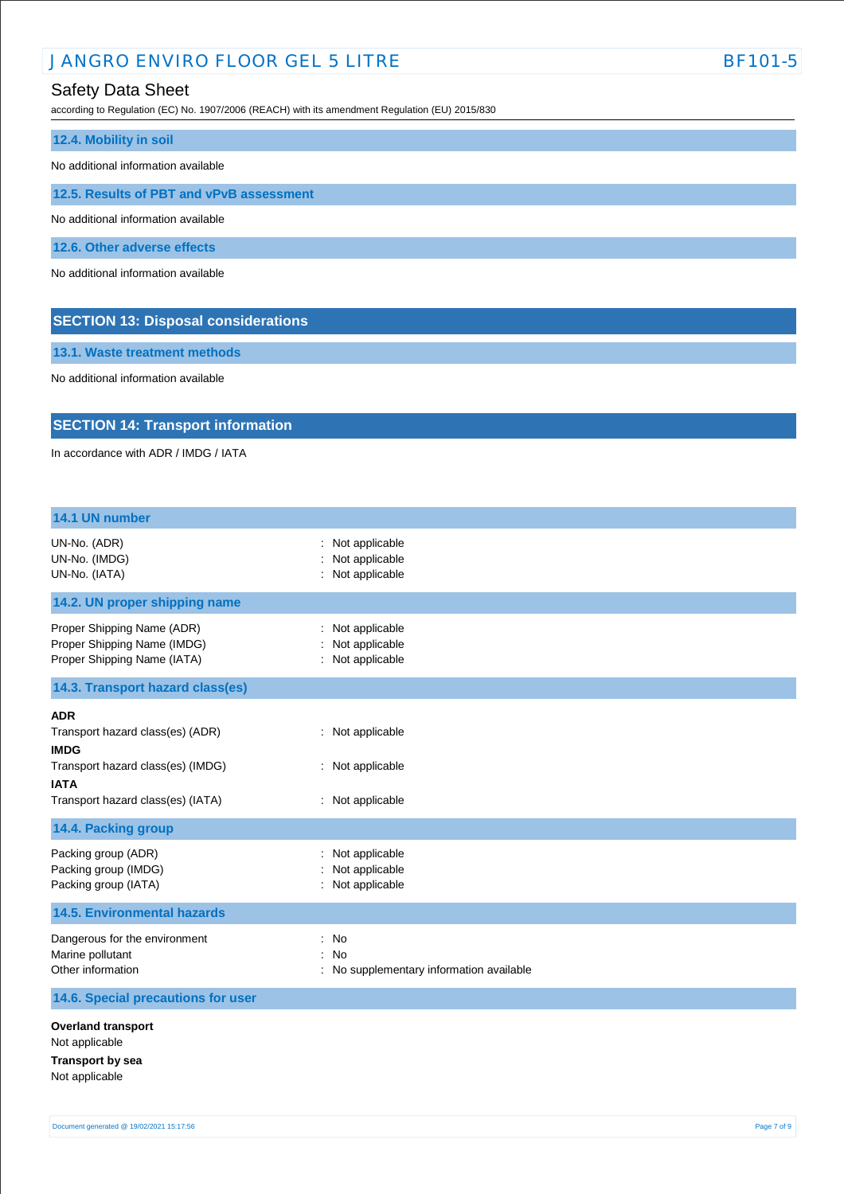# JANGRO ENVIRO FLOOR GEL 5 LITRE BET AND RESERVE AND RESERVE BET OF STATE BET OF STATE BET OF STATE BET OF STATE BET OF STATE BET OF STATE BET OF STATE BET OF STATE BET OF STATE BET OF STATE BET OF STATE BET OF STATE BET OF

# Safety Data Sheet

according to Regulation (EC) No. 1907/2006 (REACH) with its amendment Regulation (EU) 2015/830

| 12.4. Mobility in soil                   |  |  |
|------------------------------------------|--|--|
| No additional information available      |  |  |
| 12.5. Results of PBT and vPvB assessment |  |  |
| No additional information available      |  |  |
| 12.6. Other adverse effects              |  |  |
| No additional information available      |  |  |
|                                          |  |  |

**SECTION 13: Disposal considerations**

**13.1. Waste treatment methods**

No additional information available

# **SECTION 14: Transport information**

In accordance with ADR / IMDG / IATA

| 14.1 UN number                                                                                                                                         |                                                          |
|--------------------------------------------------------------------------------------------------------------------------------------------------------|----------------------------------------------------------|
| UN-No. (ADR)<br>UN-No. (IMDG)<br>UN-No. (IATA)                                                                                                         | : Not applicable<br>Not applicable<br>: Not applicable   |
| 14.2. UN proper shipping name                                                                                                                          |                                                          |
| Proper Shipping Name (ADR)<br>Proper Shipping Name (IMDG)<br>Proper Shipping Name (IATA)                                                               | : Not applicable<br>Not applicable<br>: Not applicable   |
| 14.3. Transport hazard class(es)                                                                                                                       |                                                          |
| <b>ADR</b><br>Transport hazard class(es) (ADR)<br><b>IMDG</b><br>Transport hazard class(es) (IMDG)<br><b>IATA</b><br>Transport hazard class(es) (IATA) | : Not applicable<br>: Not applicable<br>: Not applicable |
| 14.4. Packing group                                                                                                                                    |                                                          |
| Packing group (ADR)<br>Packing group (IMDG)<br>Packing group (IATA)                                                                                    | Not applicable<br>Not applicable<br>: Not applicable     |
| <b>14.5. Environmental hazards</b>                                                                                                                     |                                                          |
| Dangerous for the environment<br>Marine pollutant<br>Other information                                                                                 | : No<br>: No<br>: No supplementary information available |
| 14.6. Special precautions for user                                                                                                                     |                                                          |
| <b>Overland transport</b><br>Not applicable<br><b>Transport by sea</b><br>Not applicable                                                               |                                                          |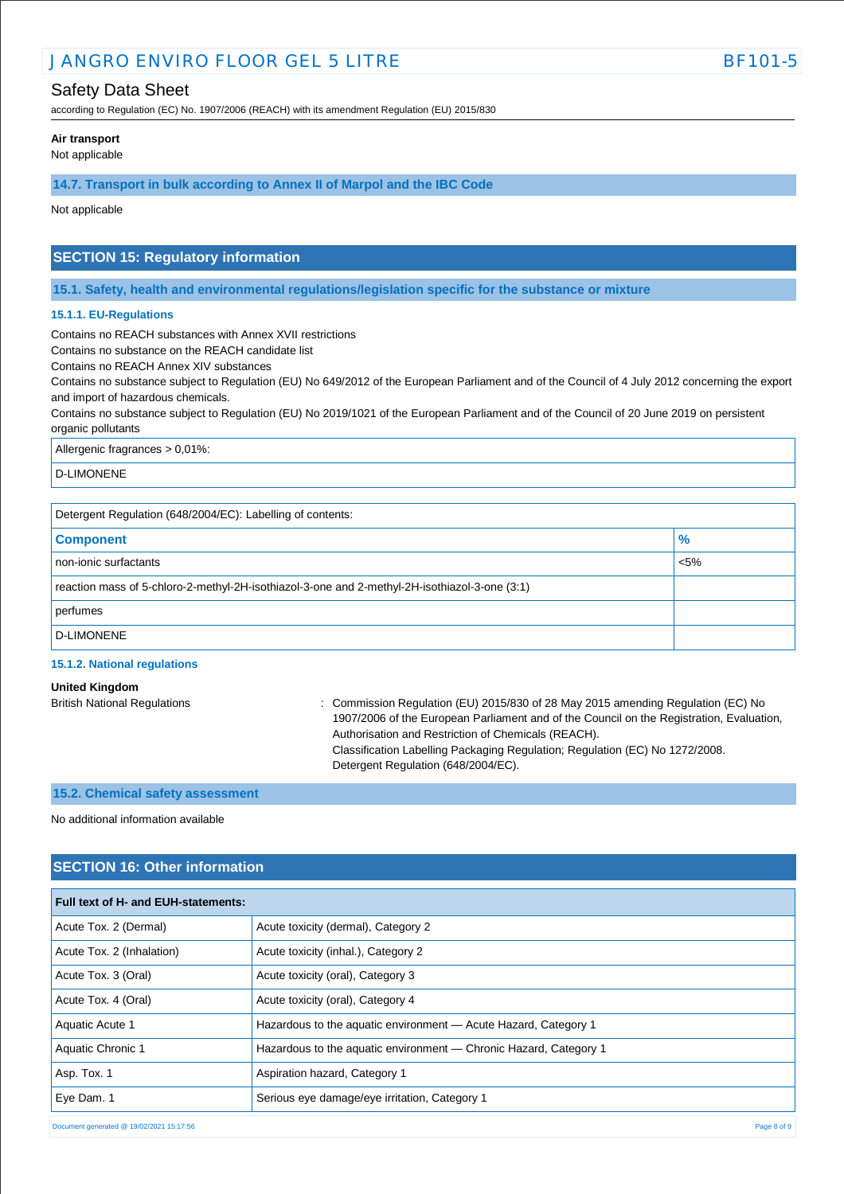# JANGRO ENVIRO FLOOR GEL 5 LITRE BET AND THE BET ON STATE BF101-5

# Safety Data Sheet

according to Regulation (EC) No. 1907/2006 (REACH) with its amendment Regulation (EU) 2015/830

#### **Air transport**

Not applicable

**14.7. Transport in bulk according to Annex II of Marpol and the IBC Code**

Not applicable

# **SECTION 15: Regulatory information**

**15.1. Safety, health and environmental regulations/legislation specific for the substance or mixture**

#### **15.1.1. EU-Regulations**

Contains no REACH substances with Annex XVII restrictions

Contains no substance on the REACH candidate list

Contains no REACH Annex XIV substances

Contains no substance subject to Regulation (EU) No 649/2012 of the European Parliament and of the Council of 4 July 2012 concerning the export and import of hazardous chemicals.

Contains no substance subject to Regulation (EU) No 2019/1021 of the European Parliament and of the Council of 20 June 2019 on persistent organic pollutants

Allergenic fragrances > 0,01%:

D-LIMONENE

Detergent Regulation (648/2004/EC): Labelling of contents:

| <b>Component</b>                                                                              | $\frac{1}{2}$ |
|-----------------------------------------------------------------------------------------------|---------------|
| non-ionic surfactants                                                                         | $\sim$ 5%     |
| reaction mass of 5-chloro-2-methyl-2H-isothiazol-3-one and 2-methyl-2H-isothiazol-3-one (3:1) |               |
| perfumes                                                                                      |               |
| D-LIMONENE                                                                                    |               |

#### **15.1.2. National regulations**

| <b>United Kingdom</b>               |                                                                                          |
|-------------------------------------|------------------------------------------------------------------------------------------|
| <b>British National Regulations</b> | : Commission Regulation (EU) 2015/830 of 28 May 2015 amending Regulation (EC) No         |
|                                     | 1907/2006 of the European Parliament and of the Council on the Registration, Evaluation, |
|                                     | Authorisation and Restriction of Chemicals (REACH).                                      |
|                                     | Classification Labelling Packaging Regulation; Regulation (EC) No 1272/2008.             |
|                                     | Detergent Regulation (648/2004/EC).                                                      |

#### **15.2. Chemical safety assessment**

No additional information available

# **SECTION 16: Other information**

| Full text of H- and EUH-statements:      |                                                                   |
|------------------------------------------|-------------------------------------------------------------------|
| Acute Tox. 2 (Dermal)                    | Acute toxicity (dermal), Category 2                               |
| Acute Tox. 2 (Inhalation)                | Acute toxicity (inhal.), Category 2                               |
| Acute Tox. 3 (Oral)                      | Acute toxicity (oral), Category 3                                 |
| Acute Tox. 4 (Oral)                      | Acute toxicity (oral), Category 4                                 |
| Aquatic Acute 1                          | Hazardous to the aquatic environment - Acute Hazard, Category 1   |
| Aquatic Chronic 1                        | Hazardous to the aquatic environment — Chronic Hazard, Category 1 |
| Asp. Tox. 1                              | Aspiration hazard, Category 1                                     |
| Eye Dam. 1                               | Serious eye damage/eye irritation, Category 1                     |
| Document generated @ 19/02/2021 15:17:56 | Page 8 of 9                                                       |